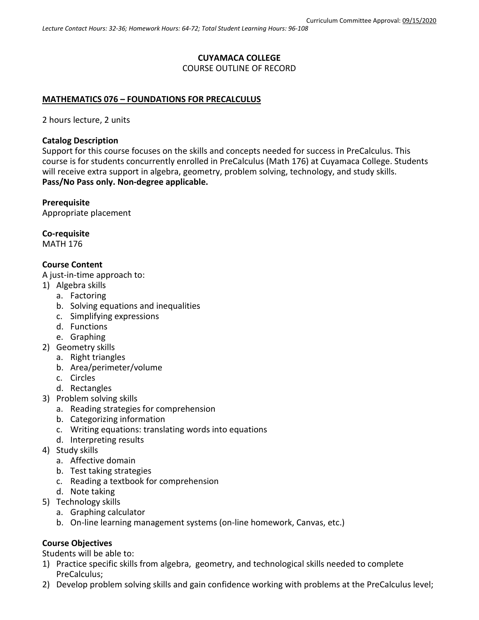# **CUYAMACA COLLEGE** COURSE OUTLINE OF RECORD

## **MATHEMATICS 076 – FOUNDATIONS FOR PRECALCULUS**

2 hours lecture, 2 units

## **Catalog Description**

Support for this course focuses on the skills and concepts needed for success in PreCalculus. This course is for students concurrently enrolled in PreCalculus (Math 176) at Cuyamaca College. Students will receive extra support in algebra, geometry, problem solving, technology, and study skills. **Pass/No Pass only. Non-degree applicable.**

## **Prerequisite**

Appropriate placement

**Co-requisite**

MATH 176

## **Course Content**

A just-in-time approach to:

- 1) Algebra skills
	- a. Factoring
	- b. Solving equations and inequalities
	- c. Simplifying expressions
	- d. Functions
	- e. Graphing
- 2) Geometry skills
	- a. Right triangles
	- b. Area/perimeter/volume
	- c. Circles
	- d. Rectangles
- 3) Problem solving skills
	- a. Reading strategies for comprehension
	- b. Categorizing information
	- c. Writing equations: translating words into equations
	- d. Interpreting results
- 4) Study skills
	- a. Affective domain
	- b. Test taking strategies
	- c. Reading a textbook for comprehension
	- d. Note taking
- 5) Technology skills
	- a. Graphing calculator
	- b. On-line learning management systems (on-line homework, Canvas, etc.)

## **Course Objectives**

Students will be able to:

- 1) Practice specific skills from algebra, geometry, and technological skills needed to complete PreCalculus;
- 2) Develop problem solving skills and gain confidence working with problems at the PreCalculus level;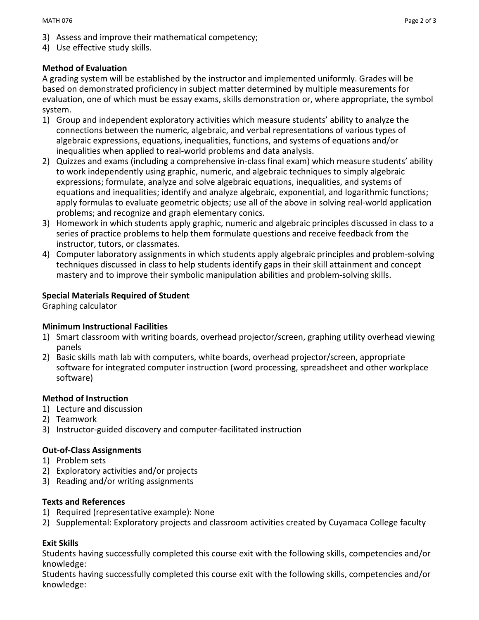- 3) Assess and improve their mathematical competency;
- 4) Use effective study skills.

## **Method of Evaluation**

A grading system will be established by the instructor and implemented uniformly. Grades will be based on demonstrated proficiency in subject matter determined by multiple measurements for evaluation, one of which must be essay exams, skills demonstration or, where appropriate, the symbol system.

- 1) Group and independent exploratory activities which measure students' ability to analyze the connections between the numeric, algebraic, and verbal representations of various types of algebraic expressions, equations, inequalities, functions, and systems of equations and/or inequalities when applied to real-world problems and data analysis.
- 2) Quizzes and exams (including a comprehensive in-class final exam) which measure students' ability to work independently using graphic, numeric, and algebraic techniques to simply algebraic expressions; formulate, analyze and solve algebraic equations, inequalities, and systems of equations and inequalities; identify and analyze algebraic, exponential, and logarithmic functions; apply formulas to evaluate geometric objects; use all of the above in solving real-world application problems; and recognize and graph elementary conics.
- 3) Homework in which students apply graphic, numeric and algebraic principles discussed in class to a series of practice problems to help them formulate questions and receive feedback from the instructor, tutors, or classmates.
- 4) Computer laboratory assignments in which students apply algebraic principles and problem-solving techniques discussed in class to help students identify gaps in their skill attainment and concept mastery and to improve their symbolic manipulation abilities and problem-solving skills.

## **Special Materials Required of Student**

Graphing calculator

## **Minimum Instructional Facilities**

- 1) Smart classroom with writing boards, overhead projector/screen, graphing utility overhead viewing panels
- 2) Basic skills math lab with computers, white boards, overhead projector/screen, appropriate software for integrated computer instruction (word processing, spreadsheet and other workplace software)

## **Method of Instruction**

- 1) Lecture and discussion
- 2) Teamwork
- 3) Instructor-guided discovery and computer-facilitated instruction

## **Out-of-Class Assignments**

- 1) Problem sets
- 2) Exploratory activities and/or projects
- 3) Reading and/or writing assignments

## **Texts and References**

- 1) Required (representative example): None
- 2) Supplemental: Exploratory projects and classroom activities created by Cuyamaca College faculty

## **Exit Skills**

Students having successfully completed this course exit with the following skills, competencies and/or knowledge:

Students having successfully completed this course exit with the following skills, competencies and/or knowledge: